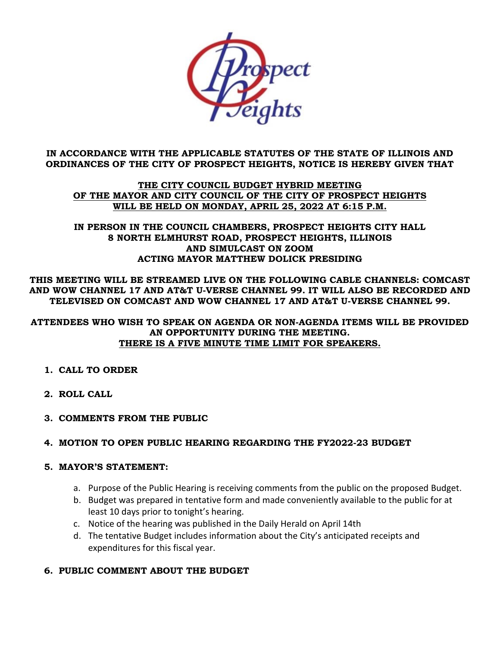

## **IN ACCORDANCE WITH THE APPLICABLE STATUTES OF THE STATE OF ILLINOIS AND ORDINANCES OF THE CITY OF PROSPECT HEIGHTS, NOTICE IS HEREBY GIVEN THAT**

## **THE CITY COUNCIL BUDGET HYBRID MEETING OF THE MAYOR AND CITY COUNCIL OF THE CITY OF PROSPECT HEIGHTS WILL BE HELD ON MONDAY, APRIL 25, 2022 AT 6:15 P.M.**

## **IN PERSON IN THE COUNCIL CHAMBERS, PROSPECT HEIGHTS CITY HALL 8 NORTH ELMHURST ROAD, PROSPECT HEIGHTS, ILLINOIS AND SIMULCAST ON ZOOM ACTING MAYOR MATTHEW DOLICK PRESIDING**

**THIS MEETING WILL BE STREAMED LIVE ON THE FOLLOWING CABLE CHANNELS: COMCAST AND WOW CHANNEL 17 AND AT&T U-VERSE CHANNEL 99. IT WILL ALSO BE RECORDED AND TELEVISED ON COMCAST AND WOW CHANNEL 17 AND AT&T U-VERSE CHANNEL 99.**

## **ATTENDEES WHO WISH TO SPEAK ON AGENDA OR NON-AGENDA ITEMS WILL BE PROVIDED AN OPPORTUNITY DURING THE MEETING. THERE IS A FIVE MINUTE TIME LIMIT FOR SPEAKERS.**

- **1. CALL TO ORDER**
- **2. ROLL CALL**
- **3. COMMENTS FROM THE PUBLIC**

# **4. MOTION TO OPEN PUBLIC HEARING REGARDING THE FY2022-23 BUDGET**

## **5. MAYOR'S STATEMENT:**

- a. Purpose of the Public Hearing is receiving comments from the public on the proposed Budget.
- b. Budget was prepared in tentative form and made conveniently available to the public for at least 10 days prior to tonight's hearing.
- c. Notice of the hearing was published in the Daily Herald on April 14th
- d. The tentative Budget includes information about the City's anticipated receipts and expenditures for this fiscal year.

# **6. PUBLIC COMMENT ABOUT THE BUDGET**